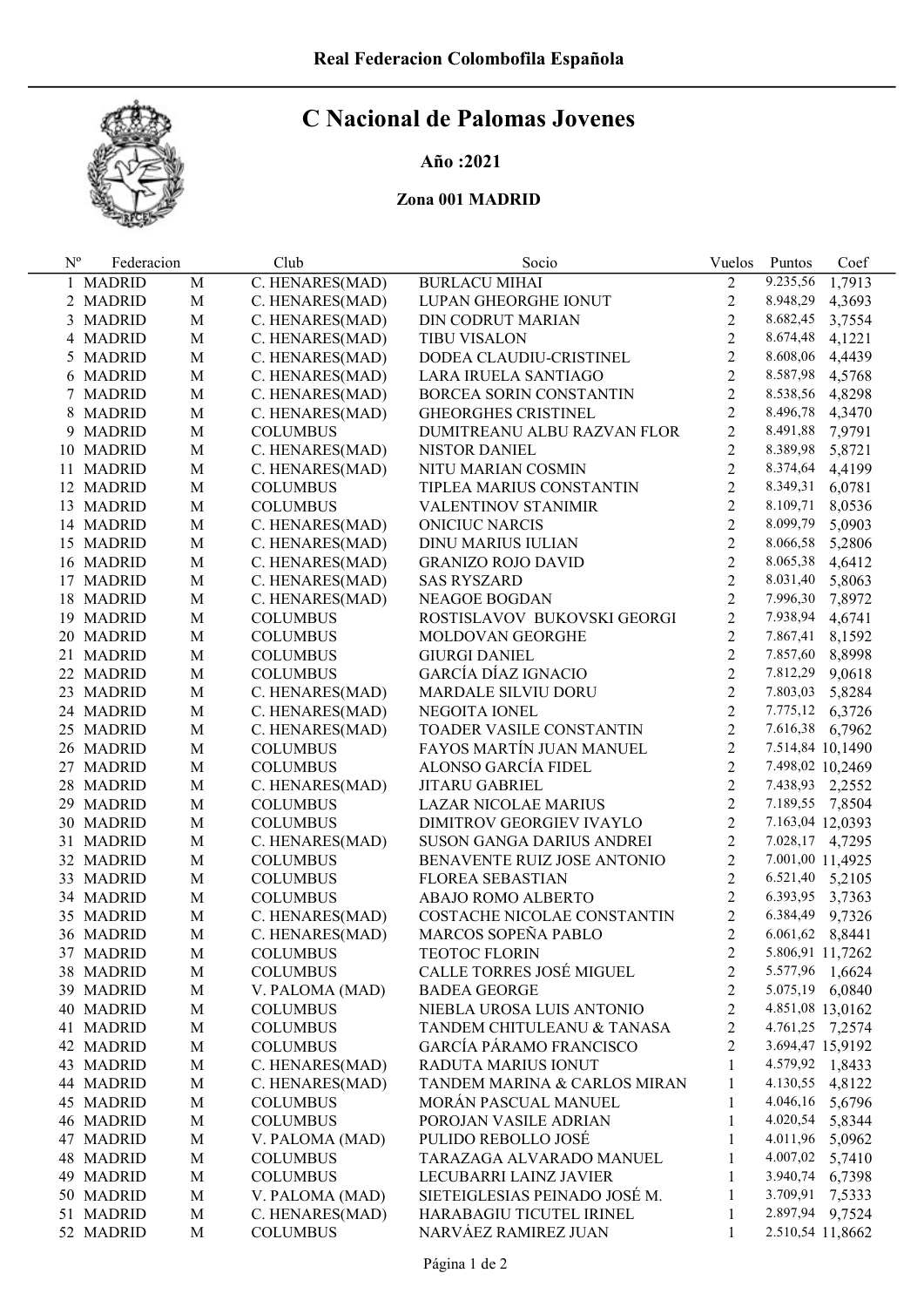

## C Nacional de Palomas Jovenes

## Año :2021

## Zona 001 MADRID

| $N^{o}$ | Federacion |             | Club            | Socio                          | Vuelos         | Puntos           | Coef   |
|---------|------------|-------------|-----------------|--------------------------------|----------------|------------------|--------|
|         | 1 MADRID   | M           | C. HENARES(MAD) | <b>BURLACU MIHAI</b>           | 2              | 9.235,56         | 1,7913 |
|         | 2 MADRID   | $\mathbf M$ | C. HENARES(MAD) | LUPAN GHEORGHE IONUT           | $\overline{2}$ | 8.948,29         | 4,3693 |
|         | 3 MADRID   | $\mathbf M$ | C. HENARES(MAD) | DIN CODRUT MARIAN              | $\overline{2}$ | 8.682,45         | 3,7554 |
|         | 4 MADRID   | $\mathbf M$ | C. HENARES(MAD) | <b>TIBU VISALON</b>            | $\overline{2}$ | 8.674,48         | 4,1221 |
|         | 5 MADRID   | $\mathbf M$ | C. HENARES(MAD) | DODEA CLAUDIU-CRISTINEL        | $\overline{2}$ | 8.608,06         | 4,4439 |
|         | 6 MADRID   | $\mathbf M$ | C. HENARES(MAD) | LARA IRUELA SANTIAGO           | $\overline{2}$ | 8.587,98         | 4,5768 |
|         | 7 MADRID   | $\mathbf M$ | C. HENARES(MAD) | BORCEA SORIN CONSTANTIN        | $\overline{2}$ | 8.538,56         | 4,8298 |
|         | 8 MADRID   | $\mathbf M$ | C. HENARES(MAD) | GHEORGHES CRISTINEL            | $\overline{2}$ | 8.496,78         | 4,3470 |
|         | 9 MADRID   | $\mathbf M$ | <b>COLUMBUS</b> | DUMITREANU ALBU RAZVAN FLOR    | $\overline{2}$ | 8.491,88         | 7,9791 |
|         | 10 MADRID  | $\mathbf M$ | C. HENARES(MAD) | NISTOR DANIEL                  | $\overline{2}$ | 8.389,98         | 5,8721 |
|         | 11 MADRID  | $\mathbf M$ | C. HENARES(MAD) | NITU MARIAN COSMIN             | $\overline{2}$ | 8.374,64         | 4,4199 |
|         | 12 MADRID  | $\mathbf M$ | <b>COLUMBUS</b> | TIPLEA MARIUS CONSTANTIN       | $\overline{2}$ | 8.349,31         | 6,0781 |
|         | 13 MADRID  | $\mathbf M$ | <b>COLUMBUS</b> | <b>VALENTINOV STANIMIR</b>     | $\overline{2}$ | 8.109,71         | 8,0536 |
|         | 14 MADRID  | $\mathbf M$ | C. HENARES(MAD) | <b>ONICIUC NARCIS</b>          | $\overline{2}$ | 8.099,79         | 5,0903 |
|         | 15 MADRID  | $\mathbf M$ | C. HENARES(MAD) | DINU MARIUS IULIAN             | $\overline{2}$ | 8.066,58         | 5,2806 |
|         | 16 MADRID  | $\mathbf M$ | C. HENARES(MAD) | <b>GRANIZO ROJO DAVID</b>      | $\overline{2}$ | 8.065,38         | 4,6412 |
|         | 17 MADRID  | M           | C. HENARES(MAD) | <b>SAS RYSZARD</b>             | $\overline{2}$ | 8.031,40         | 5,8063 |
|         | 18 MADRID  | M           | C. HENARES(MAD) | NEAGOE BOGDAN                  | $\overline{2}$ | 7.996,30         | 7,8972 |
|         | 19 MADRID  | M           | <b>COLUMBUS</b> | ROSTISLAVOV BUKOVSKI GEORGI    | $\overline{2}$ | 7.938,94         | 4,6741 |
|         | 20 MADRID  | M           | <b>COLUMBUS</b> | MOLDOVAN GEORGHE               | $\overline{2}$ | 7.867,41         | 8,1592 |
|         | 21 MADRID  | M           | <b>COLUMBUS</b> | <b>GIURGI DANIEL</b>           | $\overline{2}$ | 7.857,60         | 8,8998 |
|         | 22 MADRID  | M           | <b>COLUMBUS</b> | GARCÍA DÍAZ IGNACIO            | $\overline{2}$ | 7.812,29         | 9,0618 |
|         | 23 MADRID  | M           | C. HENARES(MAD) | <b>MARDALE SILVIU DORU</b>     | $\overline{2}$ | 7.803,03         | 5,8284 |
|         | 24 MADRID  | M           | C. HENARES(MAD) | NEGOITA IONEL                  | $\overline{2}$ | 7.775,12         | 6,3726 |
|         | 25 MADRID  | M           | C. HENARES(MAD) | TOADER VASILE CONSTANTIN       | $\overline{2}$ | 7.616,38 6,7962  |        |
|         | 26 MADRID  | M           | <b>COLUMBUS</b> | FAYOS MARTÍN JUAN MANUEL       | $\overline{2}$ | 7.514,84 10,1490 |        |
|         | 27 MADRID  | M           | <b>COLUMBUS</b> | ALONSO GARCÍA FIDEL            | $\overline{2}$ | 7.498,02 10,2469 |        |
|         | 28 MADRID  | M           | C. HENARES(MAD) | <b>JITARU GABRIEL</b>          | $\overline{2}$ | 7.438,93 2,2552  |        |
|         | 29 MADRID  | M           | <b>COLUMBUS</b> | LAZAR NICOLAE MARIUS           | $\overline{2}$ | 7.189,55 7,8504  |        |
|         | 30 MADRID  | M           | <b>COLUMBUS</b> | DIMITROV GEORGIEV IVAYLO       | $\overline{2}$ | 7.163,04 12,0393 |        |
|         | 31 MADRID  | M           | C. HENARES(MAD) | SUSON GANGA DARIUS ANDREI      | $\overline{2}$ | 7.028,17 4,7295  |        |
|         | 32 MADRID  | M           | <b>COLUMBUS</b> | BENAVENTE RUIZ JOSE ANTONIO    | $\overline{2}$ | 7.001,00 11,4925 |        |
|         | 33 MADRID  | M           | <b>COLUMBUS</b> | <b>FLOREA SEBASTIAN</b>        | $\overline{2}$ | 6.521,40 5,2105  |        |
|         | 34 MADRID  | M           | <b>COLUMBUS</b> | ABAJO ROMO ALBERTO             | $\overline{2}$ | 6.393,95 3,7363  |        |
|         | 35 MADRID  | M           | C. HENARES(MAD) | COSTACHE NICOLAE CONSTANTIN    | $\overline{2}$ | 6.384,49         | 9,7326 |
|         | 36 MADRID  | M           | C. HENARES(MAD) | MARCOS SOPEÑA PABLO            | $\overline{2}$ | 6.061,62 8,8441  |        |
|         | 37 MADRID  | М           | <b>COLUMBUS</b> | <b>TEOTOC FLORIN</b>           | 2              | 5.806,91 11,7262 |        |
|         | 38 MADRID  | $\mathbf M$ | <b>COLUMBUS</b> | CALLE TORRES JOSÉ MIGUEL       | 2              | 5.577,96 1,6624  |        |
|         | 39 MADRID  | $\mathbf M$ | V. PALOMA (MAD) | <b>BADEA GEORGE</b>            | $\overline{2}$ | 5.075,19 6,0840  |        |
|         | 40 MADRID  | M           | <b>COLUMBUS</b> | NIEBLA UROSA LUIS ANTONIO      | $\overline{2}$ | 4.851,08 13,0162 |        |
|         | 41 MADRID  | $\mathbf M$ | <b>COLUMBUS</b> | TANDEM CHITULEANU & TANASA     | $\overline{2}$ | 4.761,25 7,2574  |        |
|         | 42 MADRID  | $\mathbf M$ | <b>COLUMBUS</b> | <b>GARCÍA PÁRAMO FRANCISCO</b> | $\overline{2}$ | 3.694,47 15,9192 |        |
|         | 43 MADRID  | $\mathbf M$ | C. HENARES(MAD) | RADUTA MARIUS IONUT            | $\mathbf{1}$   | 4.579,92 1,8433  |        |
|         | 44 MADRID  | $\mathbf M$ | C. HENARES(MAD) | TANDEM MARINA & CARLOS MIRAN   | 1              | 4.130,55 4,8122  |        |
|         | 45 MADRID  | $\mathbf M$ | <b>COLUMBUS</b> | MORÁN PASCUAL MANUEL           | 1              | 4.046,16 5,6796  |        |
|         | 46 MADRID  | $\mathbf M$ | <b>COLUMBUS</b> | POROJAN VASILE ADRIAN          | 1              | 4.020,54 5,8344  |        |
|         | 47 MADRID  | $\mathbf M$ | V. PALOMA (MAD) | PULIDO REBOLLO JOSÉ            | 1              | 4.011,96 5,0962  |        |
|         | 48 MADRID  | $\mathbf M$ | <b>COLUMBUS</b> | TARAZAGA ALVARADO MANUEL       | 1              | 4.007,02 5,7410  |        |
|         | 49 MADRID  | M           | <b>COLUMBUS</b> | LECUBARRI LAINZ JAVIER         | 1              | 3.940,74 6,7398  |        |
|         | 50 MADRID  | M           | V. PALOMA (MAD) | SIETEIGLESIAS PEINADO JOSÉ M.  | 1              | 3.709,91         | 7,5333 |
|         | 51 MADRID  | $\mathbf M$ | C. HENARES(MAD) | HARABAGIU TICUTEL IRINEL       | 1              | 2.897,94         | 9,7524 |
|         | 52 MADRID  | M           | <b>COLUMBUS</b> | NARVÁEZ RAMIREZ JUAN           | 1              | 2.510,54 11,8662 |        |
|         |            |             |                 |                                |                |                  |        |